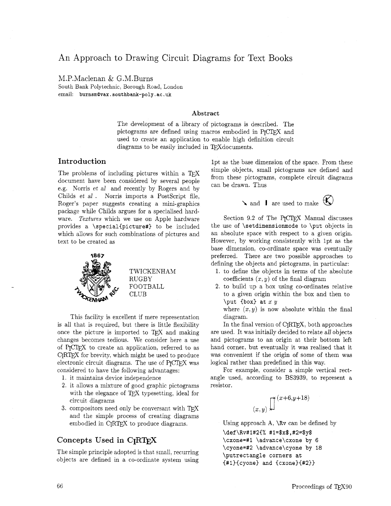# An Approach to Drawing Circuit Diagrams for Text Books

M.P.Maclenan & G.M.Burns South Bank Polytechnic, Borough Road, London email: **burnsmQvax** . **southbank-poly** . **ac .uk** 

#### **Abstract**

The development of a library of pictograms is described. The pictograms are defined using macros embodied in PrCTFX and used to create an application to enable high definition circuit diagrams to be easily included in TFX documents.

## **Introduction**

The problems of including pictures within a T $\overline{Y}X$ document have been considered by several people e.g. Norris et *al* and recently by Rogers and by Childs et al. Norris imports a PostScript file, Roger's paper suggests creating a mini-graphics package while Childs argues for a specialised hardware. Textures which we use on Apple hardware provides a **\special{picture#}** to be included which allows for such combinations of pictures and text to be created as



TWICKENHAM RUGBY FOOTBALL CLUB

This facility is excellent if mere representation is all that is required, but there is little flexibility once the picture is imported to TFX and making changes becomes tedious. We consider here a use of P<sub>I</sub>CI<sub>F</sub>X to create an application, referred to as CIRTEX for brevity, which might be used to produce electronic circuit diagrams. The use of  $P_{\text{ICTF}}X$  was considered to have the following advantages:

1. it maintains device independence

- it allows a mixture of good graphic pictograms with the elegance of TEX typesetting, ideal for circuit diagrams
- 3. compositors need only be conversant with TFX and the simple process of creating diagrams embodied in C<sub>RTFX</sub> to produce diagrams.

# **Concepts Used in CIRW**

The simple principle adopted is that small, recurring objects are defined in a co-ordinate system using lpt as the base dimension of the space. From these simple objects, small pictograms are defined and from these pictograms, complete circuit diagrams can be drawn. Thus

**I** are used to make  $\bigotimes$ 



Section 9.2 of The PICTEX Manual discusses the use of **\setdimensionmode** to **\put** objects in an absolute space with respect to a given origin. However, by working consistently with lpt as the base dimension. co-ordinate space was eventually preferred. There are two possible approaches to defining the objects and pictograms. in particular:

1. to define the objects in terms of the absolute coefficients  $(x, y)$  of the final diagram

**2.** to build up a box using co-ordinates relative to a given origin within the box and then to **\put {box) at** x **y** 

where  $(x, y)$  is now absolute within the final diagram.

In the final version of  $C_I R T_F X$ , both approaches are used. It was initially decided to relate all objects and pictograms to an origin at their bottom left hand corner, but eventually it was realised that it was convenient if the origin of some of them was logical rather than predefined in this way.

For example, consider a simple vertical rectangle used. according to BS3939, to represent a resistor.

$$
\left(x,y\right) \int_{0}^{\infty} \left(x+6,y+18\right)
$$

Using approach A, **\Rv** can be defined by **\def\Rv#l#2C% #I=\$x\$,#2=\$y\$ \cxone=#l \advance\cxone by 6 \cyone=#2 \advance\cyone by 18 \putrectangle corners at C#l){cyone) and Ccxone)C#2))**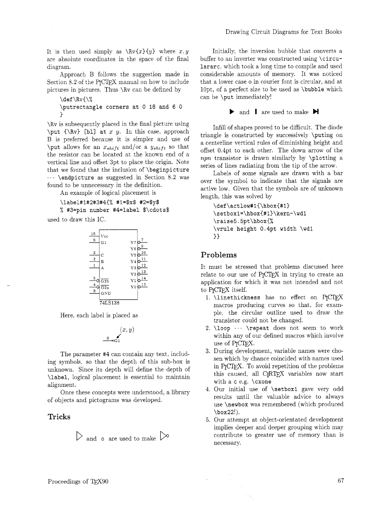It is then used simply as  $\Rv{x}y$  where  $x, y$ are absolute coordinates in the space of the final diagram.

Approach B follows the suggestion made in Section 8.2 of the PJCIFX manual on how to include pictures in pictures. Thus **\Rv** can be defined by

```
\def \RvC\% 
\putrectangle corners at 0 18 and 6 0 
1
```
**\Rv** is subsequently placed in the final picture using **\put {\Rv) [bl] at** x **y.** In this case. approach B is preferred because it is simpler and use of \put allows for an  $x_{shift}$  and/or a  $y_{shift}$  so that the resistor can be located at the known end of a vertical line and offset 3pt to place the origin. Note that we found that the inclusion of **\beginpicture**  . . **\endpicture** as suggested in Section 8.2 was found to be unnecessary in the definition.

An example of logical placement is

**\label#1#2#3#4{% #l=\$x\$ #2=\$y\$**  % **#3=pin number #4=label \$\cdots\$** 

used to draw this IC.



Here, each label is placed as

$$
(x, y)
$$

The parameter **#4** can contain any text, including symbols, so that the depth of this sub-box is unknown. Since its depth will define the depth of **\label,** logical placement is essential to maintain alignment.

Once these concepts were understood, a library of objects and pictograms was developed.

#### **Tricks**

 $\triangleright$  and **o** are used to make  $\triangleright$ 

Initially, the inversion bubble that converts a buffer to an inverter was constructed using **\circulararc,** which took a long time to compile and used considerable amounts of memory. It was noticed that a lower case o in courier font is circular. and at lOpt, of a perfect size to be used as **\bubble** which can be **\put** immediately!

**b** and **I** are used to make **H** 

Infill of shapes proved to be difficult. The diode triangle is constructed by successively **\puting** on a centerline vertical rules of diminishing height and offset 0.4pt to each other. The down arrow of the  $npn$  transistor is drawn similarly by  $\phi$  abouting a series of lines radiating from the tip of the arrow.

Labels of some signals are drawn with a bar over the symbol to indicate that the signals are active low. Given that the symbols are of unknown length, this was solved by

```
\def\actlow#1{\hbox{#1}
\setboxl=\hbox{#l3\kern-\wd1 
\raise5.5pt\hbox{% 
\vrule height 0.4pt width \wdl 
) 3
```
## Problems

It must be stressed that problems discussed here relate to our use of P<sub>I</sub>CI<sub>E</sub>X in trying to create an application for which it was not intended and not to **PrCTFX** itself.

- 1. **\linethickness** has no effect on **P**JCTEX macros producing curves so that. for example, the circular outline used to draw the transistor could not be changed.
- **\loop** ... **\repeat** does not seem to work within any of our defined macros which involve use of **P<sub>T</sub>CT<sub>F</sub>X**.
- During development, variable names were chosen which by chance coincided with names used in **P<sub>T</sub>CTFX**. To avoid repetition of the problems this caused. all CIRTEX variables now start with a **c** e.g. **\cxone**
- Our initial use of **\setbox1** gave very odd results until the valuable advice to always use **\newbox** was remembered (which produced **\box22!).**
- Our attempt at object-orientated development implies deeper and deeper grouping which may contribute to greater use of memory than is necessary.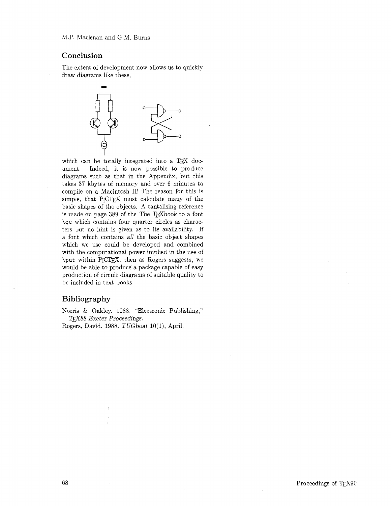### Conclusion

The extent of development now allows us to quickly draw diagrams like these,



ument. Indeed, it is now possible to produce diagrams such as that in the Appendix, but this takes 37 kbytes of memory and over 6 minutes to compile on a Macintosh II! The reason for this is simple, that PICIFX must calculate many of the basic shapes of the objects. A tantalising reference is made on page 389 of the The T $FX$ book to a font \qc which contains four quarter circles as characters but no hint is given as to its availability. If a font which contains all the basic object shapes which we use could be developed and combined with the computational power implied in the use of which we use could be developed and combined<br>with the computational power implied in the use of<br> $\pi$  vithin P<sub>I</sub>CT<sub>E</sub>X, then as Rogers suggests, we<br>would be able to produce a package capable of easy would be able to produce a package capable of easy production of circuit diagrams of suitable quality to be included in text books.

# Bibliography

Norris & Oakley. 1988. "Electronic Publishing," TFX88 Exeter Proceedings.

Rogers, David. 1988. TUGboat 10(1), April.